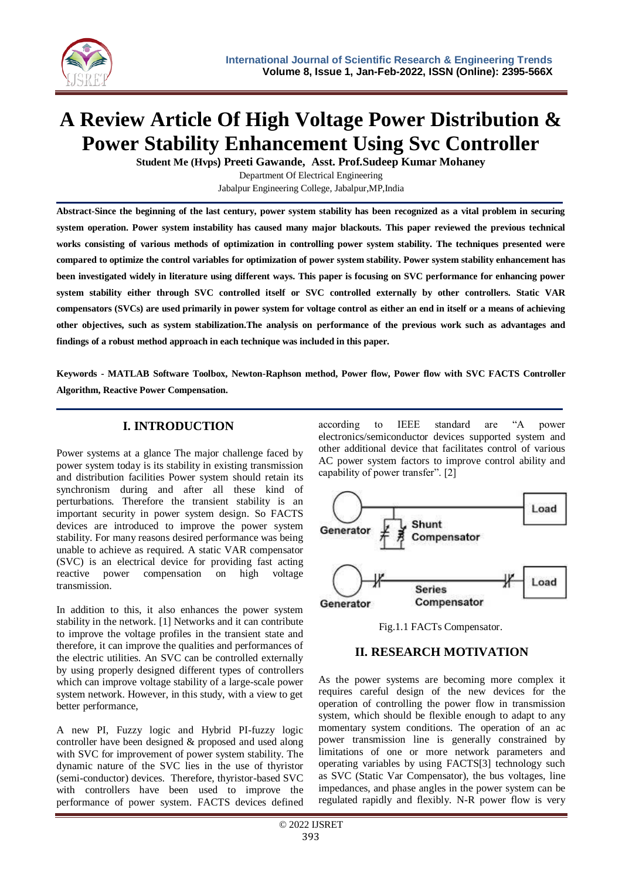

# **A Review Article Of High Voltage Power Distribution & Power Stability Enhancement Using Svc Controller**

**Student Me (Hvps) Preeti Gawande, Asst. Prof.Sudeep Kumar Mohaney** Department Of Electrical Engineering

Jabalpur Engineering College, Jabalpur,MP,India

**Abstract-Since the beginning of the last century, power system stability has been recognized as a vital problem in securing system operation. Power system instability has caused many major blackouts. This paper reviewed the previous technical works consisting of various methods of optimization in controlling power system stability. The techniques presented were compared to optimize the control variables for optimization of power system stability. Power system stability enhancement has been investigated widely in literature using different ways. This paper is focusing on SVC performance for enhancing power system stability either through SVC controlled itself or SVC controlled externally by other controllers. Static VAR compensators (SVCs) are used primarily in power system for voltage control as either an end in itself or a means of achieving other objectives, such as system stabilization.The analysis on performance of the previous work such as advantages and findings of a robust method approach in each technique was included in this paper.**

**Keywords - MATLAB Software Toolbox, Newton-Raphson method, Power flow, Power flow with SVC FACTS Controller Algorithm, Reactive Power Compensation.**

### **I. INTRODUCTION**

Power systems at a glance The major challenge faced by power system today is its stability in existing transmission and distribution facilities Power system should retain its synchronism during and after all these kind of perturbations. Therefore the transient stability is an important security in power system design. So FACTS devices are introduced to improve the power system stability. For many reasons desired performance was being unable to achieve as required. A static VAR compensator (SVC) is an electrical device for providing fast acting reactive power compensation on high voltage transmission.

In addition to this, it also enhances the power system stability in the network. [1] Networks and it can contribute to improve the voltage profiles in the transient state and therefore, it can improve the qualities and performances of the electric utilities. An SVC can be controlled externally by using properly designed different types of controllers which can improve voltage stability of a large-scale power system network. However, in this study, with a view to get better performance,

A new PI, Fuzzy logic and Hybrid PI-fuzzy logic controller have been designed & proposed and used along with SVC for improvement of power system stability. The dynamic nature of the SVC lies in the use of thyristor (semi-conductor) devices. Therefore, thyristor-based SVC with controllers have been used to improve the performance of power system. FACTS devices defined according to IEEE standard are "A power electronics/semiconductor devices supported system and other additional device that facilitates control of various AC power system factors to improve control ability and capability of power transfer". [2]



Fig.1.1 FACTs Compensator.

#### **II. RESEARCH MOTIVATION**

As the power systems are becoming more complex it requires careful design of the new devices for the operation of controlling the power flow in transmission system, which should be flexible enough to adapt to any momentary system conditions. The operation of an ac power transmission line is generally constrained by limitations of one or more network parameters and operating variables by using FACTS[3] technology such as SVC (Static Var Compensator), the bus voltages, line impedances, and phase angles in the power system can be regulated rapidly and flexibly. N-R power flow is very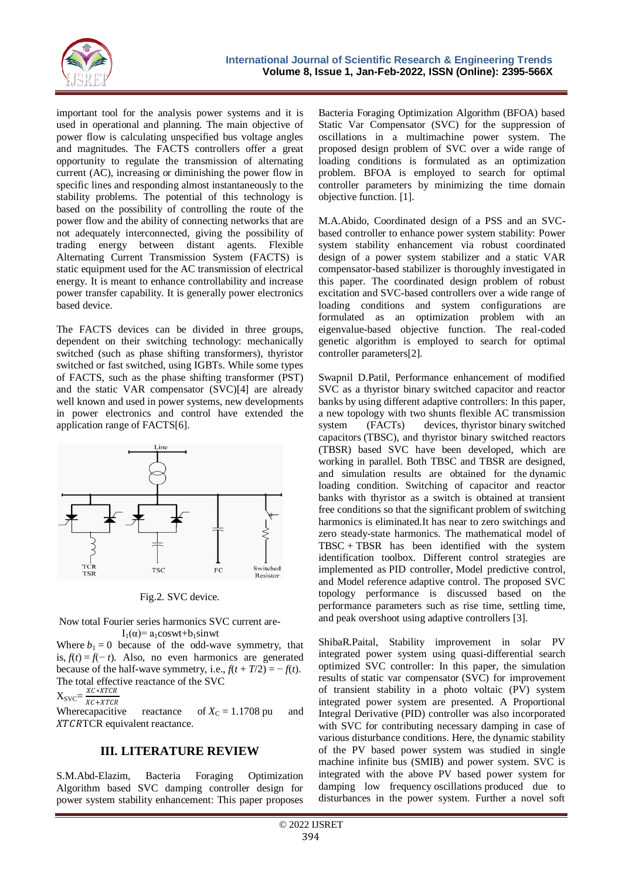

important tool for the analysis power systems and it is used in operational and planning. The main objective of power flow is calculating unspecified bus voltage angles and magnitudes. The FACTS controllers offer a great opportunity to regulate the transmission of alternating current (AC), increasing or diminishing the power flow in specific lines and responding almost instantaneously to the stability problems. The potential of this technology is based on the possibility of controlling the route of the power flow and the ability of connecting networks that are not adequately interconnected, giving the possibility of trading energy between distant agents. Flexible Alternating Current Transmission System (FACTS) is static equipment used for the AC transmission of electrical energy. It is meant to enhance controllability and increase power transfer capability. It is generally power electronics based device.

The FACTS devices can be divided in three groups, dependent on their switching technology: mechanically switched (such as phase shifting transformers), thyristor switched or fast switched, using IGBTs. While some types of FACTS, such as the phase shifting transformer (PST) and the static VAR compensator (SVC)[4] are already well known and used in power systems, new developments in power electronics and control have extended the application range of FACTS[6].



Fig.2. SVC device.

Now total Fourier series harmonics SVC current are-  $I_1(\alpha)$ = a<sub>1</sub>coswt+b<sub>1</sub>sinwt

Where  $b_1 = 0$  because of the odd-wave symmetry, that is, *f*(*t*) = *f*(− *t*). Also, no even harmonics are generated because of the half-wave symmetry, i.e.,  $f(t + T/2) = -f(t)$ . The total effective reactance of the SVC  $X_{\text{SVC}} = \frac{XC*XTCR}{VC+YTCR}$ XC+XTCR Wherecapacitive reactance of  $X_C = 1.1708$  pu and XTCRTCR equivalent reactance.

#### **III. LITERATURE REVIEW**

[S.M.Abd-Elazim,](https://www.sciencedirect.com/science/article/abs/pii/S0142061512003109#!) Bacteria Foraging Optimization Algorithm based SVC damping controller design for power system stability enhancement: This paper proposes

Bacteria Foraging Optimization Algorithm (BFOA) based Static Var Compensator (SVC) for the suppression of oscillations in a multimachine power system. The proposed design problem of SVC over a wide range of loading conditions is formulated as an optimization problem. BFOA is employed to search for optimal controller parameters by minimizing the time domain objective function. [1].

[M.A.Abido,](https://www.sciencedirect.com/science/article/abs/pii/S0142061502001242#!) Coordinated design of a PSS and an SVCbased controller to enhance power system stability: Power system stability enhancement via robust coordinated design of a power system stabilizer and a static VAR compensator-based stabilizer is thoroughly investigated in this paper. The coordinated design problem of robust excitation and SVC-based controllers over a wide range of loading conditions and system configurations are formulated as an optimization problem with an eigenvalue-based objective function. The real-coded genetic algorithm is employed to search for optimal controller parameters[2].

[Swapnil D.Patil,](https://www.sciencedirect.com/science/article/pii/S1018363921000891#!) Performance enhancement of modified SVC as a thyristor binary switched capacitor and reactor banks by using different adaptive controllers: In this paper, a new topology with two shunts flexible AC transmission system (FACTs) devices, [thyristor](https://www.sciencedirect.com/topics/engineering/thyristor) binary [switched](https://www.sciencedirect.com/topics/engineering/switched-capacitor)  [capacitors](https://www.sciencedirect.com/topics/engineering/switched-capacitor) (TBSC), and thyristor binary switched reactors (TBSR) based SVC have been developed, which are working in parallel. Both TBSC and TBSR are designed, and simulation results are obtained for the [dynamic](https://www.sciencedirect.com/topics/engineering/dynamic-loading-condition)  [loading condition.](https://www.sciencedirect.com/topics/engineering/dynamic-loading-condition) Switching of capacitor and reactor banks with thyristor as a switch is obtained at transient free conditions so that the significant problem of switching harmonics is eliminated.It has near to zero switchings and zero steady-state harmonics. The mathematical model of TBSC + TBSR has been identified with the system identification toolbox. Different control strategies are implemented as [PID controller,](https://www.sciencedirect.com/topics/engineering/derivative-controller) [Model predictive control,](https://www.sciencedirect.com/topics/engineering/predictive-control-model) and Model reference [adaptive control.](https://www.sciencedirect.com/topics/engineering/adaptive-control-system) The proposed SVC topology performance is discussed based on the performance parameters such as rise time, settling time, and [peak overshoot](https://www.sciencedirect.com/topics/engineering/peak-overshoot) using [adaptive controllers](https://www.sciencedirect.com/topics/engineering/adaptive-controller) [3].

[ShibaR.Paital,](https://www.sciencedirect.com/science/article/abs/pii/S0030402618307484#!) Stability improvement in solar PV integrated power system using quasi-differential search optimized SVC controller: In this paper, the simulation results of [static var compensator](https://www.sciencedirect.com/topics/engineering/static-var-compensators) (SVC) for improvement of transient stability in a photo voltaic (PV) system integrated power system are presented. A Proportional Integral Derivative (PID) controller was also incorporated with SVC for contributing necessary damping in case of various disturbance conditions. Here, the dynamic stability of the PV based power system was studied in single machine infinite bus (SMIB) and power system. SVC is integrated with the above PV based power system for damping low frequency [oscillations](https://www.sciencedirect.com/topics/physics-and-astronomy/oscillations) produced due to disturbances in the power system. Further a novel soft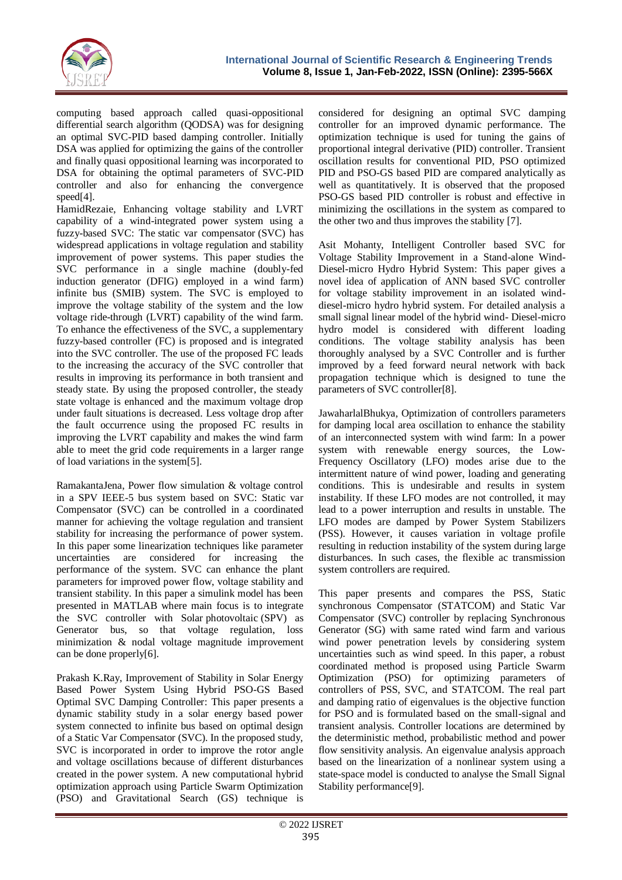

computing based approach called quasi-oppositional differential search algorithm (QODSA) was for designing an optimal SVC-PID based damping controller. Initially DSA was applied for optimizing the gains of the controller and finally quasi oppositional learning was incorporated to DSA for obtaining the optimal parameters of SVC-PID controller and also for enhancing the convergence speed[4].

[HamidRezaie,](https://www.sciencedirect.com/science/article/pii/S2215098618318871#!) Enhancing voltage stability and LVRT capability of a wind-integrated power system using a fuzzy-based SVC: The [static var compensator](https://www.sciencedirect.com/topics/engineering/static-var-compensators) (SVC) has widespread applications in voltage regulation and stability improvement of power systems. This paper studies the SVC performance in a single machine (doubly-fed induction generator (DFIG) employed in a wind farm) infinite bus (SMIB) system. The SVC is employed to improve the voltage stability of the system and the low voltage ride-through (LVRT) capability of the wind farm. To enhance the effectiveness of the SVC, a supplementary fuzzy-based controller (FC) is proposed and is integrated into the SVC controller. The use of the proposed FC leads to the increasing the accuracy of the SVC controller that results in improving its performance in both transient and steady state. By using the proposed controller, the steady state voltage is enhanced and the maximum voltage drop under fault situations is decreased. Less voltage drop after the fault occurrence using the proposed FC results in improving the LVRT capability and makes the wind farm able to meet the [grid code requirements](https://www.sciencedirect.com/topics/engineering/grid-code-requirement) in a larger range of load variations in the system[5].

[RamakantaJena,](https://www.sciencedirect.com/science/article/pii/S2214785320362465#!) Power flow simulation & voltage control in a SPV IEEE-5 bus system based on SVC: Static var Compensator (SVC) can be controlled in a coordinated manner for achieving the voltage regulation and transient stability for increasing the performance of power system. In this paper some linearization techniques like parameter uncertainties are considered for increasing the performance of the system. SVC can enhance the plant parameters for improved power flow, voltage stability and transient stability. In this paper a simulink model has been presented in MATLAB where main focus is to integrate the SVC controller with Solar [photovoltaic](https://www.sciencedirect.com/topics/materials-science/photovoltaics) (SPV) as Generator bus, so that voltage regulation, loss minimization & nodal voltage magnitude improvement can be done properly[6].

[Prakash K.Ray,](https://www.sciencedirect.com/science/article/pii/S1876610217301005#!) Improvement of Stability in Solar Energy Based Power System Using Hybrid PSO-GS Based Optimal SVC Damping Controller: This paper presents a dynamic stability study in a solar energy based power system connected to infinite bus based on optimal design of a Static Var Compensator (SVC). In the proposed study, SVC is incorporated in order to improve the rotor angle and voltage oscillations because of different disturbances created in the power system. A new computational hybrid optimization approach using Particle Swarm Optimization (PSO) and Gravitational Search (GS) technique is considered for designing an optimal SVC damping controller for an improved dynamic performance. The optimization technique is used for tuning the gains of proportional integral derivative (PID) controller. Transient oscillation results for conventional PID, PSO optimized PID and PSO-GS based PID are compared analytically as well as quantitatively. It is observed that the proposed PSO-GS based PID controller is robust and effective in minimizing the oscillations in the system as compared to the other two and thus improves the stability [7].

Asit [Mohanty,](https://www.sciencedirect.com/science/article/pii/S1877050915019699#!) Intelligent Controller based SVC for Voltage Stability Improvement in a Stand-alone Wind-Diesel-micro Hydro Hybrid System: This paper gives a novel idea of application of ANN based SVC controller for voltage stability improvement in an isolated winddiesel-micro hydro hybrid system. For detailed analysis a small signal linear model of the hybrid wind- Diesel-micro hydro model is considered with different loading conditions. The voltage stability analysis has been thoroughly analysed by a SVC Controller and is further improved by a feed forward neural network with back propagation technique which is designed to tune the parameters of SVC controller[8].

[JawaharlalBhukya,](https://www.sciencedirect.com/science/article/abs/pii/S0142061519325219#!) Optimization of controllers parameters for damping local area oscillation to enhance the stability of an interconnected system with wind farm: In a power system with renewable energy sources, the Low-Frequency Oscillatory (LFO) modes arise due to the intermittent nature of wind power, loading and generating conditions. This is undesirable and results in system instability. If these LFO modes are not controlled, it may lead to a power interruption and results in unstable. The LFO modes are damped by Power System Stabilizers (PSS). However, it causes variation in voltage profile resulting in reduction instability of the system during large disturbances. In such cases, the flexible ac transmission system controllers are required.

This paper presents and compares the PSS, Static synchronous Compensator (STATCOM) and Static Var Compensator (SVC) controller by replacing Synchronous Generator (SG) with same rated wind farm and various wind power penetration levels by considering system uncertainties such as wind speed. In this paper, a robust coordinated method is proposed using Particle Swarm Optimization (PSO) for optimizing parameters of controllers of PSS, SVC, and STATCOM. The real part and damping ratio of eigenvalues is the objective function for PSO and is formulated based on the small-signal and transient analysis. Controller locations are determined by the deterministic method, probabilistic method and power flow sensitivity analysis. An eigenvalue analysis approach based on the linearization of a nonlinear system using a state-space model is conducted to analyse the Small Signal Stability performance[9].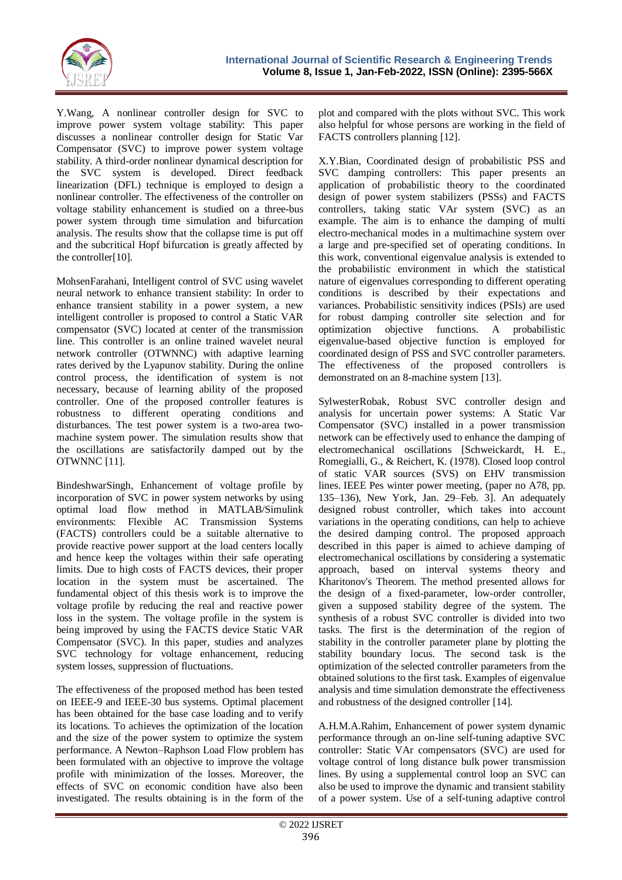

[Y.Wang,](https://www.sciencedirect.com/science/article/abs/pii/S0142061500000235#!) A nonlinear controller design for SVC to improve power system voltage stability: This paper discusses a nonlinear controller design for Static Var Compensator (SVC) to improve power system voltage stability. A third-order nonlinear dynamical description for the SVC system is developed. Direct feedback linearization (DFL) technique is employed to design a nonlinear controller. The effectiveness of the controller on voltage stability enhancement is studied on a three-bus power system through time simulation and bifurcation analysis. The results show that the collapse time is put off and the subcritical Hopf bifurcation is greatly affected by the controller[10].

[MohsenFarahani,](https://www.sciencedirect.com/science/article/abs/pii/S0952197612001029#!) Intelligent control of SVC using wavelet neural network to enhance transient stability: In order to enhance transient stability in a power system, a new intelligent controller is proposed to control a Static VAR compensator (SVC) located at center of the transmission line. This controller is an online trained wavelet neural network controller (OTWNNC) with adaptive learning rates derived by the Lyapunov stability. During the online control process, the identification of system is not necessary, because of learning ability of the proposed controller. One of the proposed controller features is robustness to different operating conditions and disturbances. The test power system is a two-area twomachine system power. The simulation results show that the oscillations are satisfactorily damped out by the OTWNNC [11].

[BindeshwarSingh,](https://www.sciencedirect.com/science/article/pii/S2352484718300258#!) Enhancement of voltage profile by incorporation of SVC in power system networks by using optimal load flow method in MATLAB/Simulink environments: Flexible AC Transmission Systems (FACTS) controllers could be a suitable alternative to provide reactive power support at the load centers locally and hence keep the voltages within their safe operating limits. Due to high costs of FACTS devices, their proper location in the system must be ascertained. The fundamental object of this thesis work is to improve the voltage profile by reducing the real and reactive power loss in the system. The voltage profile in the system is being improved by using the FACTS device Static VAR Compensator (SVC). In this paper, studies and analyzes SVC technology for voltage enhancement, reducing system losses, suppression of fluctuations.

The effectiveness of the proposed method has been tested on IEEE-9 and IEEE-30 bus systems. Optimal placement has been obtained for the base case loading and to verify its locations. To achieves the optimization of the location and the size of the power system to optimize the system performance. A Newton–Raphson Load Flow problem has been formulated with an objective to improve the voltage profile with minimization of the losses. Moreover, the effects of SVC on economic condition have also been investigated. The results obtaining is in the form of the

plot and compared with the plots without SVC. This work also helpful for whose persons are working in the field of FACTS controllers planning [12].

[X.Y.Bian,](https://www.sciencedirect.com/science/article/abs/pii/S0142061510001936#!) Coordinated design of probabilistic PSS and SVC damping controllers: This paper presents an application of probabilistic theory to the coordinated design of power system stabilizers (PSSs) and FACTS controllers, taking static VAr system (SVC) as an example. The aim is to enhance the damping of multi electro-mechanical modes in a multimachine system over a large and pre-specified set of operating conditions. In this work, conventional eigenvalue analysis is extended to the probabilistic environment in which the statistical nature of eigenvalues corresponding to different operating conditions is described by their expectations and variances. Probabilistic sensitivity indices (PSIs) are used for robust damping controller site selection and for optimization objective functions. A probabilistic eigenvalue-based objective function is employed for coordinated design of PSS and SVC controller parameters. The effectiveness of the proposed controllers is demonstrated on an 8-machine system [13].

[SylwesterRobak,](https://www.sciencedirect.com/science/article/abs/pii/S0967066109001154#!) Robust SVC controller design and analysis for uncertain power systems: A Static Var Compensator (SVC) installed in a power transmission network can be effectively used to enhance the damping of electromechanical oscillations [Schweickardt, H. E., Romegialli, G., & Reichert, K. (1978). Closed loop control of static VAR sources (SVS) on EHV transmission lines. IEEE Pes winter power meeting*,* (paper no A78, pp. 135–136), New York, Jan. 29–Feb. 3]. An adequately designed robust controller, which takes into account variations in the operating conditions, can help to achieve the desired damping control. The proposed approach described in this paper is aimed to achieve damping of electromechanical oscillations by considering a systematic approach, based on interval systems theory and Kharitonov's Theorem. The method presented allows for the design of a fixed-parameter, low-order controller, given a supposed stability degree of the system. The synthesis of a robust SVC controller is divided into two tasks. The first is the determination of the region of stability in the controller parameter plane by plotting the stability boundary locus. The second task is the optimization of the selected controller parameters from the obtained solutions to the first task. Examples of eigenvalue analysis and time simulation demonstrate the effectiveness and robustness of the designed controller [14].

[A.H.M.A.Rahim,](https://www.sciencedirect.com/science/article/abs/pii/S0378779605002397#!) Enhancement of power system dynamic performance through an on-line self-tuning adaptive SVC controller: Static VAr compensators (SVC) are used for voltage control of long distance bulk [power transmission](https://www.sciencedirect.com/topics/engineering/power-transmission-line)  [lines.](https://www.sciencedirect.com/topics/engineering/power-transmission-line) By using a supplemental control loop an SVC can also be used to improve the dynamic and transient stability of a power system. Use of a self-tuning adaptive control